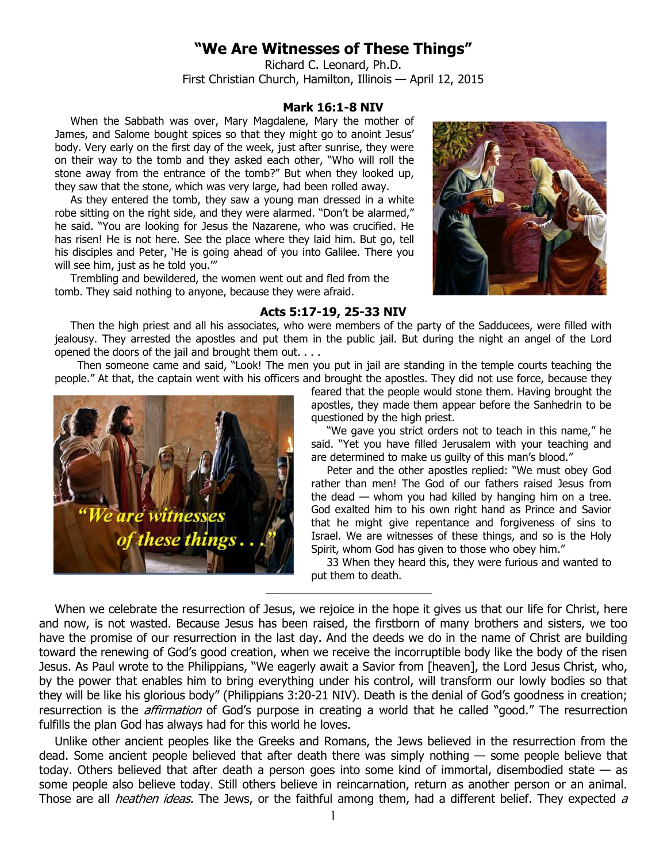## **"We Are Witnesses of These Things"**

Richard C. Leonard, Ph.D. First Christian Church, Hamilton, Illinois — April 12, 2015

## **Mark 16:1-8 NIV**

When the Sabbath was over, Mary Magdalene, Mary the mother of James, and Salome bought spices so that they might go to anoint Jesus' body. Very early on the first day of the week, just after sunrise, they were on their way to the tomb and they asked each other, "Who will roll the stone away from the entrance of the tomb?" But when they looked up, they saw that the stone, which was very large, had been rolled away.

As they entered the tomb, they saw a young man dressed in a white robe sitting on the right side, and they were alarmed. "Don't be alarmed," he said. "You are looking for Jesus the Nazarene, who was crucified. He has risen! He is not here. See the place where they laid him. But go, tell his disciples and Peter, 'He is going ahead of you into Galilee. There you will see him, just as he told you.'"

Trembling and bewildered, the women went out and fled from the tomb. They said nothing to anyone, because they were afraid.



## **Acts 5:17-19, 25-33 NIV**

Then the high priest and all his associates, who were members of the party of the Sadducees, were filled with jealousy. They arrested the apostles and put them in the public jail. But during the night an angel of the Lord opened the doors of the jail and brought them out. . . .

 Then someone came and said, "Look! The men you put in jail are standing in the temple courts teaching the people." At that, the captain went with his officers and brought the apostles. They did not use force, because they



feared that the people would stone them. Having brought the apostles, they made them appear before the Sanhedrin to be questioned by the high priest.

"We gave you strict orders not to teach in this name," he said. "Yet you have filled Jerusalem with your teaching and are determined to make us guilty of this man's blood."

Peter and the other apostles replied: "We must obey God rather than men! The God of our fathers raised Jesus from the dead — whom you had killed by hanging him on a tree. God exalted him to his own right hand as Prince and Savior that he might give repentance and forgiveness of sins to Israel. We are witnesses of these things, and so is the Holy Spirit, whom God has given to those who obey him."

33 When they heard this, they were furious and wanted to put them to death.

When we celebrate the resurrection of Jesus, we rejoice in the hope it gives us that our life for Christ, here and now, is not wasted. Because Jesus has been raised, the firstborn of many brothers and sisters, we too have the promise of our resurrection in the last day. And the deeds we do in the name of Christ are building toward the renewing of God's good creation, when we receive the incorruptible body like the body of the risen Jesus. As Paul wrote to the Philippians, "We eagerly await a Savior from [heaven], the Lord Jesus Christ, who, by the power that enables him to bring everything under his control, will transform our lowly bodies so that they will be like his glorious body" (Philippians 3:20-21 NIV). Death is the denial of God's goodness in creation; resurrection is the *affirmation* of God's purpose in creating a world that he called "good." The resurrection fulfills the plan God has always had for this world he loves.

\_\_\_\_\_\_\_\_\_\_\_\_\_\_\_\_\_\_\_\_\_\_\_\_\_\_\_\_

Unlike other ancient peoples like the Greeks and Romans, the Jews believed in the resurrection from the dead. Some ancient people believed that after death there was simply nothing — some people believe that today. Others believed that after death a person goes into some kind of immortal, disembodied state — as some people also believe today. Still others believe in reincarnation, return as another person or an animal. Those are all *heathen ideas*. The Jews, or the faithful among them, had a different belief. They expected a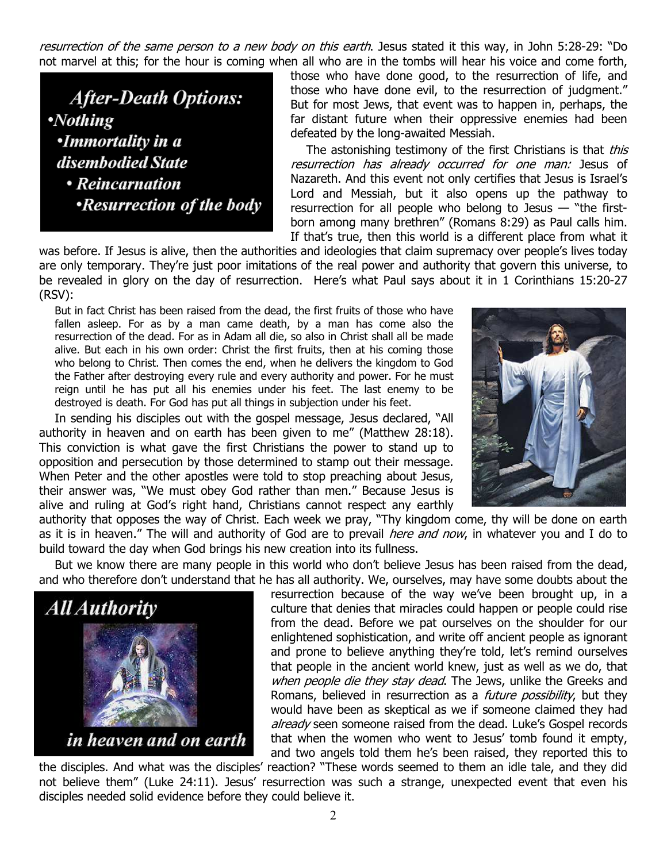resurrection of the same person to a new body on this earth. Jesus stated it this way, in John 5:28-29: "Do not marvel at this; for the hour is coming when all who are in the tombs will hear his voice and come forth,

**After-Death Options:** *•Nothing* ·Immortality in a disembodied State • Reincarnation **•Resurrection of the body** 

those who have done good, to the resurrection of life, and those who have done evil, to the resurrection of judgment." But for most Jews, that event was to happen in, perhaps, the far distant future when their oppressive enemies had been defeated by the long-awaited Messiah.

The astonishing testimony of the first Christians is that this resurrection has already occurred for one man: Jesus of Nazareth. And this event not only certifies that Jesus is Israel's Lord and Messiah, but it also opens up the pathway to resurrection for all people who belong to Jesus — "the firstborn among many brethren" (Romans 8:29) as Paul calls him. If that's true, then this world is a different place from what it

was before. If Jesus is alive, then the authorities and ideologies that claim supremacy over people's lives today are only temporary. They're just poor imitations of the real power and authority that govern this universe, to be revealed in glory on the day of resurrection. Here's what Paul says about it in 1 Corinthians 15:20-27 (RSV):

But in fact Christ has been raised from the dead, the first fruits of those who have fallen asleep. For as by a man came death, by a man has come also the resurrection of the dead. For as in Adam all die, so also in Christ shall all be made alive. But each in his own order: Christ the first fruits, then at his coming those who belong to Christ. Then comes the end, when he delivers the kingdom to God the Father after destroying every rule and every authority and power. For he must reign until he has put all his enemies under his feet. The last enemy to be destroyed is death. For God has put all things in subjection under his feet.

In sending his disciples out with the gospel message, Jesus declared, "All authority in heaven and on earth has been given to me" (Matthew 28:18). This conviction is what gave the first Christians the power to stand up to opposition and persecution by those determined to stamp out their message. When Peter and the other apostles were told to stop preaching about Jesus, their answer was, "We must obey God rather than men." Because Jesus is alive and ruling at God's right hand, Christians cannot respect any earthly



authority that opposes the way of Christ. Each week we pray, "Thy kingdom come, thy will be done on earth as it is in heaven." The will and authority of God are to prevail *here and now*, in whatever you and I do to build toward the day when God brings his new creation into its fullness.

But we know there are many people in this world who don't believe Jesus has been raised from the dead, and who therefore don't understand that he has all authority. We, ourselves, may have some doubts about the



resurrection because of the way we've been brought up, in a culture that denies that miracles could happen or people could rise from the dead. Before we pat ourselves on the shoulder for our enlightened sophistication, and write off ancient people as ignorant and prone to believe anything they're told, let's remind ourselves that people in the ancient world knew, just as well as we do, that when people die they stay dead. The Jews, unlike the Greeks and Romans, believed in resurrection as a *future possibility*, but they would have been as skeptical as we if someone claimed they had already seen someone raised from the dead. Luke's Gospel records that when the women who went to Jesus' tomb found it empty, and two angels told them he's been raised, they reported this to

the disciples. And what was the disciples' reaction? "These words seemed to them an idle tale, and they did not believe them" (Luke 24:11). Jesus' resurrection was such a strange, unexpected event that even his disciples needed solid evidence before they could believe it.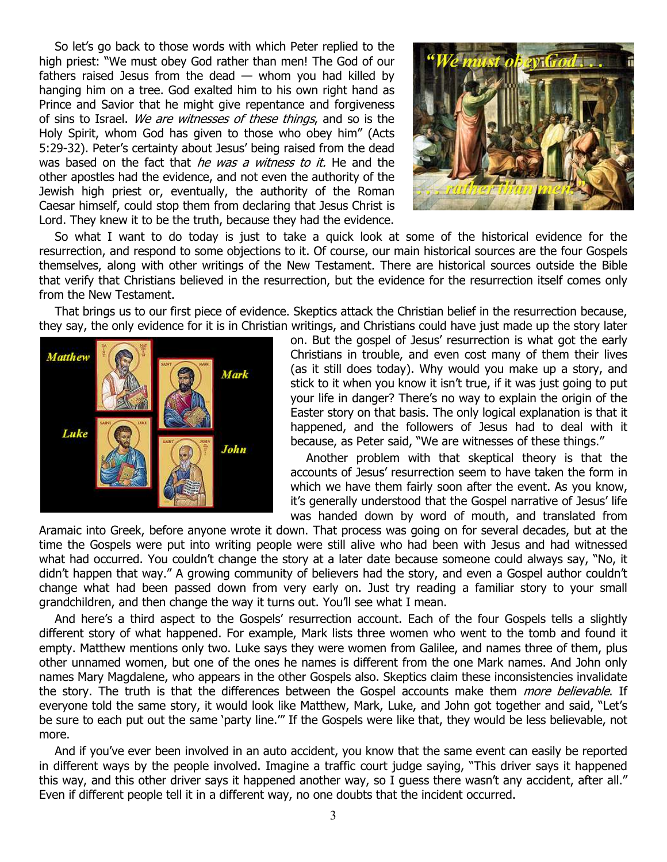So let's go back to those words with which Peter replied to the high priest: "We must obey God rather than men! The God of our fathers raised Jesus from the dead  $-$  whom you had killed by hanging him on a tree. God exalted him to his own right hand as Prince and Savior that he might give repentance and forgiveness of sins to Israel. We are witnesses of these things, and so is the Holy Spirit, whom God has given to those who obey him" (Acts 5:29-32). Peter's certainty about Jesus' being raised from the dead was based on the fact that *he was a witness to it*. He and the other apostles had the evidence, and not even the authority of the Jewish high priest or, eventually, the authority of the Roman Caesar himself, could stop them from declaring that Jesus Christ is Lord. They knew it to be the truth, because they had the evidence.



So what I want to do today is just to take a quick look at some of the historical evidence for the resurrection, and respond to some objections to it. Of course, our main historical sources are the four Gospels themselves, along with other writings of the New Testament. There are historical sources outside the Bible that verify that Christians believed in the resurrection, but the evidence for the resurrection itself comes only from the New Testament.

That brings us to our first piece of evidence. Skeptics attack the Christian belief in the resurrection because, they say, the only evidence for it is in Christian writings, and Christians could have just made up the story later



on. But the gospel of Jesus' resurrection is what got the early Christians in trouble, and even cost many of them their lives (as it still does today). Why would you make up a story, and stick to it when you know it isn't true, if it was just going to put your life in danger? There's no way to explain the origin of the Easter story on that basis. The only logical explanation is that it happened, and the followers of Jesus had to deal with it because, as Peter said, "We are witnesses of these things."

Another problem with that skeptical theory is that the accounts of Jesus' resurrection seem to have taken the form in which we have them fairly soon after the event. As you know, it's generally understood that the Gospel narrative of Jesus' life was handed down by word of mouth, and translated from

Aramaic into Greek, before anyone wrote it down. That process was going on for several decades, but at the time the Gospels were put into writing people were still alive who had been with Jesus and had witnessed what had occurred. You couldn't change the story at a later date because someone could always say, "No, it didn't happen that way." A growing community of believers had the story, and even a Gospel author couldn't change what had been passed down from very early on. Just try reading a familiar story to your small grandchildren, and then change the way it turns out. You'll see what I mean.

And here's a third aspect to the Gospels' resurrection account. Each of the four Gospels tells a slightly different story of what happened. For example, Mark lists three women who went to the tomb and found it empty. Matthew mentions only two. Luke says they were women from Galilee, and names three of them, plus other unnamed women, but one of the ones he names is different from the one Mark names. And John only names Mary Magdalene, who appears in the other Gospels also. Skeptics claim these inconsistencies invalidate the story. The truth is that the differences between the Gospel accounts make them *more believable*. If everyone told the same story, it would look like Matthew, Mark, Luke, and John got together and said, "Let's be sure to each put out the same 'party line.'" If the Gospels were like that, they would be less believable, not more.

And if you've ever been involved in an auto accident, you know that the same event can easily be reported in different ways by the people involved. Imagine a traffic court judge saying, "This driver says it happened this way, and this other driver says it happened another way, so I guess there wasn't any accident, after all." Even if different people tell it in a different way, no one doubts that the incident occurred.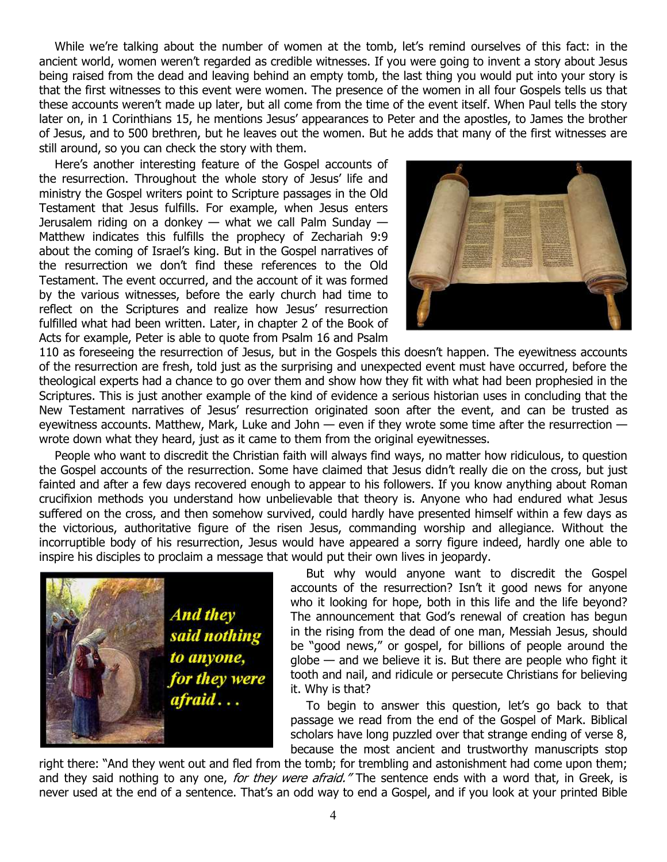While we're talking about the number of women at the tomb, let's remind ourselves of this fact: in the ancient world, women weren't regarded as credible witnesses. If you were going to invent a story about Jesus being raised from the dead and leaving behind an empty tomb, the last thing you would put into your story is that the first witnesses to this event were women. The presence of the women in all four Gospels tells us that these accounts weren't made up later, but all come from the time of the event itself. When Paul tells the story later on, in 1 Corinthians 15, he mentions Jesus' appearances to Peter and the apostles, to James the brother of Jesus, and to 500 brethren, but he leaves out the women. But he adds that many of the first witnesses are still around, so you can check the story with them.

Here's another interesting feature of the Gospel accounts of the resurrection. Throughout the whole story of Jesus' life and ministry the Gospel writers point to Scripture passages in the Old Testament that Jesus fulfills. For example, when Jesus enters Jerusalem riding on a donkey — what we call Palm Sunday — Matthew indicates this fulfills the prophecy of Zechariah 9:9 about the coming of Israel's king. But in the Gospel narratives of the resurrection we don't find these references to the Old Testament. The event occurred, and the account of it was formed by the various witnesses, before the early church had time to reflect on the Scriptures and realize how Jesus' resurrection fulfilled what had been written. Later, in chapter 2 of the Book of Acts for example, Peter is able to quote from Psalm 16 and Psalm



110 as foreseeing the resurrection of Jesus, but in the Gospels this doesn't happen. The eyewitness accounts of the resurrection are fresh, told just as the surprising and unexpected event must have occurred, before the theological experts had a chance to go over them and show how they fit with what had been prophesied in the Scriptures. This is just another example of the kind of evidence a serious historian uses in concluding that the New Testament narratives of Jesus' resurrection originated soon after the event, and can be trusted as eyewitness accounts. Matthew, Mark, Luke and John — even if they wrote some time after the resurrection wrote down what they heard, just as it came to them from the original eyewitnesses.

People who want to discredit the Christian faith will always find ways, no matter how ridiculous, to question the Gospel accounts of the resurrection. Some have claimed that Jesus didn't really die on the cross, but just fainted and after a few days recovered enough to appear to his followers. If you know anything about Roman crucifixion methods you understand how unbelievable that theory is. Anyone who had endured what Jesus suffered on the cross, and then somehow survived, could hardly have presented himself within a few days as the victorious, authoritative figure of the risen Jesus, commanding worship and allegiance. Without the incorruptible body of his resurrection, Jesus would have appeared a sorry figure indeed, hardly one able to inspire his disciples to proclaim a message that would put their own lives in jeopardy.



But why would anyone want to discredit the Gospel accounts of the resurrection? Isn't it good news for anyone who it looking for hope, both in this life and the life beyond? The announcement that God's renewal of creation has begun in the rising from the dead of one man, Messiah Jesus, should be "good news," or gospel, for billions of people around the  $a$ lobe  $-$  and we believe it is. But there are people who fight it tooth and nail, and ridicule or persecute Christians for believing it. Why is that?

To begin to answer this question, let's go back to that passage we read from the end of the Gospel of Mark. Biblical scholars have long puzzled over that strange ending of verse 8, because the most ancient and trustworthy manuscripts stop

right there: "And they went out and fled from the tomb; for trembling and astonishment had come upon them; and they said nothing to any one, for they were afraid." The sentence ends with a word that, in Greek, is never used at the end of a sentence. That's an odd way to end a Gospel, and if you look at your printed Bible